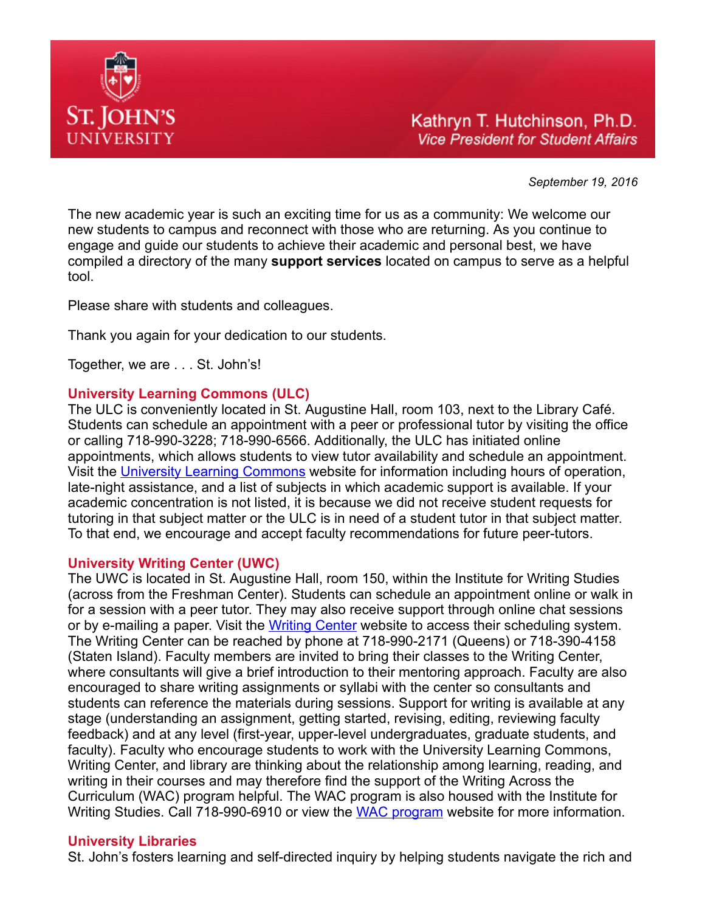

September 19, 2016

The new academic year is such an exciting time for us as a community: We welcome our new students to campus and reconnect with those who are returning. As you continue to engage and guide our students to achieve their academic and personal best, we have compiled a directory of the many **support services** located on campus to serve as a helpful tool.

Please share with students and colleagues.

Thank you again for your dedication to our students.

Together, we are . . . St. John's!

### University Learning Commons (ULC)

The ULC is conveniently located in St. Augustine Hall, room 103, next to the Library Café. Students can schedule an appointment with a peer or professional tutor by visiting the office or calling 718-990-3228; 718-990-6566. Additionally, the ULC has initiated online appointments, which allows students to view tutor availability and schedule an appointment. Visit the [University Learning Commons](http://www.stjohns.edu/academics/academic-resources/university-learning-commons%20) website for information including hours of operation, late-night assistance, and a list of subjects in which academic support is available. If your academic concentration is not listed, it is because we did not receive student requests for tutoring in that subject matter or the ULC is in need of a student tutor in that subject matter. To that end, we encourage and accept faculty recommendations for future peer-tutors.

### University Writing Center (UWC)

The UWC is located in St. Augustine Hall, room 150, within the Institute for Writing Studies (across from the Freshman Center). Students can schedule an appointment online or walk in for a session with a peer tutor. They may also receive support through online chat sessions or by e-mailing a paper. Visit the [Writing Center](http://www.stjohns.edu/about/administrative-offices/provost/institute-writing-studies/university-writing-center) website to access their scheduling system. The Writing Center can be reached by phone at 718-990-2171 (Queens) or 718-390-4158 (Staten Island). Faculty members are invited to bring their classes to the Writing Center, where consultants will give a brief introduction to their mentoring approach. Faculty are also encouraged to share writing assignments or syllabi with the center so consultants and students can reference the materials during sessions. Support for writing is available at any stage (understanding an assignment, getting started, revising, editing, reviewing faculty feedback) and at any level (first-year, upper-level undergraduates, graduate students, and faculty). Faculty who encourage students to work with the University Learning Commons, Writing Center, and library are thinking about the relationship among learning, reading, and writing in their courses and may therefore find the support of the Writing Across the Curriculum (WAC) program helpful. The WAC program is also housed with the Institute for Writing Studies. Call 718-990-6910 or view the [WAC program](http://www.stjohns.edu/iws) website for more information.

### University Libraries

St. John's fosters learning and self-directed inquiry by helping students navigate the rich and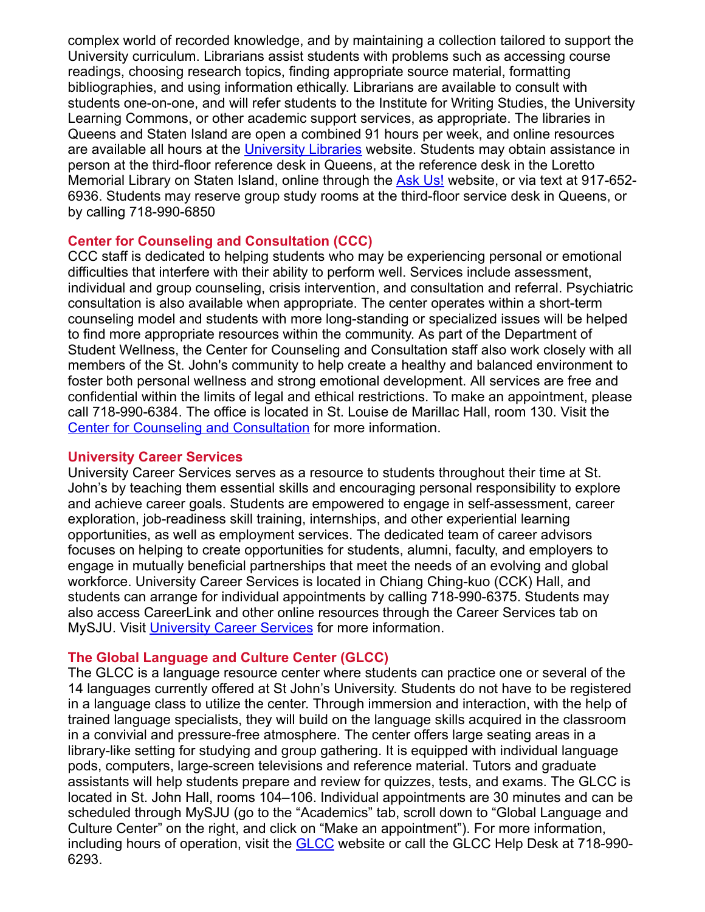complex world of recorded knowledge, and by maintaining a collection tailored to support the University curriculum. Librarians assist students with problems such as accessing course readings, choosing research topics, finding appropriate source material, formatting bibliographies, and using information ethically. Librarians are available to consult with students one-on-one, and will refer students to the Institute for Writing Studies, the University Learning Commons, or other academic support services, as appropriate. The libraries in Queens and Staten Island are open a combined 91 hours per week, and online resources are available all hours at the [University Libraries](http://libraries.stjohns.edu/) website. Students may obtain assistance in person at the third-floor reference desk in Queens, at the reference desk in the Loretto Memorial Library on Staten Island, online through the [Ask Us!](http://stjohns.libanswers.com/) website, or via text at 917-652-6936. Students may reserve group study rooms at the third-floor service desk in Queens, or by calling 718-990-6850

## Center for Counseling and Consultation (CCC)

CCC staff is dedicated to helping students who may be experiencing personal or emotional difficulties that interfere with their ability to perform well. Services include assessment, individual and group counseling, crisis intervention, and consultation and referral. Psychiatric consultation is also available when appropriate. The center operates within a short-term counseling model and students with more long-standing or specialized issues will be helped to find more appropriate resources within the community. As part of the Department of Student Wellness, the Center for Counseling and Consultation staff also work closely with all members of the St. John's community to help create a healthy and balanced environment to foster both personal wellness and strong emotional development. All services are free and confidential within the limits of legal and ethical restrictions. To make an appointment, please call 718-990-6384. The office is located in St. Louise de Marillac Hall, room 130. Visit the [Center for Counseling and Consultation](http://www.stjohns.edu/student-life/health-and-wellness/center-counseling-consultation) for more information.

### University Career Services

University Career Services serves as a resource to students throughout their time at St. John's by teaching them essential skills and encouraging personal responsibility to explore and achieve career goals. Students are empowered to engage in self-assessment, career exploration, job-readiness skill training, internships, and other experiential learning opportunities, as well as employment services. The dedicated team of career advisors focuses on helping to create opportunities for students, alumni, faculty, and employers to engage in mutually beneficial partnerships that meet the needs of an evolving and global workforce. University Career Services is located in Chiang Ching-kuo (CCK) Hall, and students can arrange for individual appointments by calling 718-990-6375. Students may also access CareerLink and other online resources through the Career Services tab on MySJU. Visit [University Career Services](http://www.stjohns.edu/career-services) for more information.

### The Global Language and Culture Center (GLCC)

The GLCC is a language resource center where students can practice one or several of the 14 languages currently offered at St John's University. Students do not have to be registered in a language class to utilize the center. Through immersion and interaction, with the help of trained language specialists, they will build on the language skills acquired in the classroom in a convivial and pressure-free atmosphere. The center offers large seating areas in a library-like setting for studying and group gathering. It is equipped with individual language pods, computers, large-screen televisions and reference material. Tutors and graduate assistants will help students prepare and review for quizzes, tests, and exams. The GLCC is located in St. John Hall, rooms 104–106. Individual appointments are 30 minutes and can be scheduled through MySJU (go to the "Academics" tab, scroll down to "Global Language and Culture Center" on the right, and click on "Make an appointment"). For more information, including hours of operation, visit the **GLCC** website or call the [GLCC](http://www.stjohns.edu/academics/schools-and-colleges/st-johns-college-liberal-arts-and-sciences/global-language-and-culture-center) Help Desk at 718-990-6293.